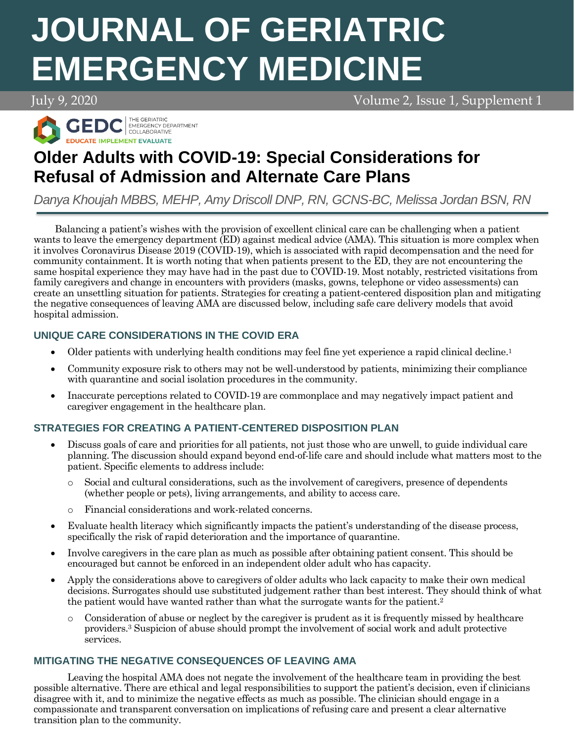# **JOURNAL OF GERIATRIC EMERGENCY MEDICINE**

July 9, 2020 Volume 2, Issue 1, Supplement 1



# **Older Adults with COVID-19: Special Considerations for Refusal of Admission and Alternate Care Plans**

*Danya Khoujah MBBS, MEHP, Amy Driscoll DNP, RN, GCNS-BC, Melissa Jordan BSN, RN*

Balancing a patient's wishes with the provision of excellent clinical care can be challenging when a patient wants to leave the emergency department (ED) against medical advice (AMA). This situation is more complex when it involves Coronavirus Disease 2019 (COVID-19), which is associated with rapid decompensation and the need for community containment. It is worth noting that when patients present to the ED, they are not encountering the same hospital experience they may have had in the past due to COVID-19. Most notably, restricted visitations from family caregivers and change in encounters with providers (masks, gowns, telephone or video assessments) can create an unsettling situation for patients. Strategies for creating a patient-centered disposition plan and mitigating the negative consequences of leaving AMA are discussed below, including safe care delivery models that avoid hospital admission.

## **UNIQUE CARE CONSIDERATIONS IN THE COVID ERA**

- Older patients with underlying health conditions may feel fine yet experience a rapid clinical decline.<sup>1</sup>
- Community exposure risk to others may not be well-understood by patients, minimizing their compliance with quarantine and social isolation procedures in the community.
- Inaccurate perceptions related to COVID-19 are commonplace and may negatively impact patient and caregiver engagement in the healthcare plan.

# **STRATEGIES FOR CREATING A PATIENT-CENTERED DISPOSITION PLAN**

- Discuss goals of care and priorities for all patients, not just those who are unwell, to guide individual care planning. The discussion should expand beyond end-of-life care and should include what matters most to the patient. Specific elements to address include:
	- Social and cultural considerations, such as the involvement of caregivers, presence of dependents (whether people or pets), living arrangements, and ability to access care.
	- o Financial considerations and work-related concerns.
- Evaluate health literacy which significantly impacts the patient's understanding of the disease process, specifically the risk of rapid deterioration and the importance of quarantine.
- Involve caregivers in the care plan as much as possible after obtaining patient consent. This should be encouraged but cannot be enforced in an independent older adult who has capacity.
- Apply the considerations above to caregivers of older adults who lack capacity to make their own medical decisions. Surrogates should use substituted judgement rather than best interest. They should think of what the patient would have wanted rather than what the surrogate wants for the patient.<sup>2</sup>
	- $\circ$  Consideration of abuse or neglect by the caregiver is prudent as it is frequently missed by healthcare providers.<sup>3</sup> Suspicion of abuse should prompt the involvement of social work and adult protective services.

### **MITIGATING THE NEGATIVE CONSEQUENCES OF LEAVING AMA**

Leaving the hospital AMA does not negate the involvement of the healthcare team in providing the best possible alternative. There are ethical and legal responsibilities to support the patient's decision, even if clinicians disagree with it, and to minimize the negative effects as much as possible. The clinician should engage in a compassionate and transparent conversation on implications of refusing care and present a clear alternative transition plan to the community.